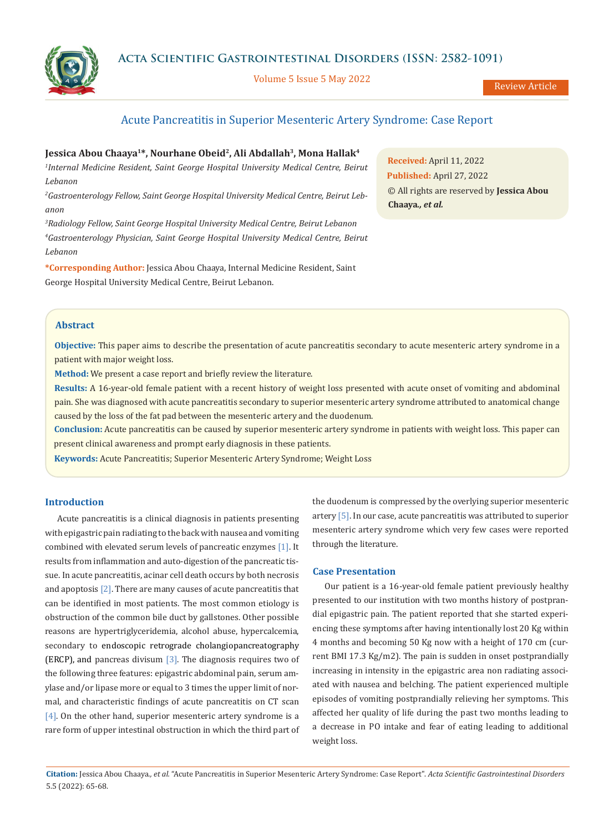**Acta Scientific Gastrointestinal Disorders (ISSN: 2582-1091)**

Volume 5 Issue 5 May 2022

Review Article

# Acute Pancreatitis in Superior Mesenteric Artery Syndrome: Case Report

# Jessica Abou Chaaya<sup>1\*</sup>, Nourhane Obeid<sup>2</sup>, Ali Abdallah<sup>3</sup>, Mona Hallak<sup>4</sup>

<sup>1</sup>Internal Medicine Resident, Saint George Hospital University Medical Centre, Beirut *Lebanon* 

*2 Gastroenterology Fellow, Saint George Hospital University Medical Centre, Beirut Lebanon* 

*3 Radiology Fellow, Saint George Hospital University Medical Centre, Beirut Lebanon 4 Gastroenterology Physician, Saint George Hospital University Medical Centre, Beirut Lebanon* 

**\*Corresponding Author:** Jessica Abou Chaaya, Internal Medicine Resident, Saint George Hospital University Medical Centre, Beirut Lebanon.

**Received:** April 11, 2022 **Published:** April 27, 2022 © All rights are reserved by **Jessica Abou Chaaya***., et al.*

# **Abstract**

**Objective:** This paper aims to describe the presentation of acute pancreatitis secondary to acute mesenteric artery syndrome in a patient with major weight loss.

**Method:** We present a case report and briefly review the literature.

**Results:** A 16-year-old female patient with a recent history of weight loss presented with acute onset of vomiting and abdominal pain. She was diagnosed with acute pancreatitis secondary to superior mesenteric artery syndrome attributed to anatomical change caused by the loss of the fat pad between the mesenteric artery and the duodenum.

**Conclusion:** Acute pancreatitis can be caused by superior mesenteric artery syndrome in patients with weight loss. This paper can present clinical awareness and prompt early diagnosis in these patients.

**Keywords:** Acute Pancreatitis; Superior Mesenteric Artery Syndrome; Weight Loss

## **Introduction**

Acute pancreatitis is a clinical diagnosis in patients presenting with epigastric pain radiating to the back with nausea and vomiting combined with elevated serum levels of pancreatic enzymes [1]. It results from inflammation and auto-digestion of the pancreatic tissue. In acute pancreatitis, acinar cell death occurs by both necrosis and apoptosis [2]. There are many causes of acute pancreatitis that can be identified in most patients. The most common etiology is obstruction of the common bile duct by gallstones. Other possible reasons are hypertriglyceridemia, alcohol abuse, hypercalcemia, secondary to endoscopic retrograde cholangiopancreatography (ERCP), and pancreas divisum  $[3]$ . The diagnosis requires two of the following three features: epigastric abdominal pain, serum amylase and/or lipase more or equal to 3 times the upper limit of normal, and characteristic findings of acute pancreatitis on CT scan [4]. On the other hand, superior mesenteric artery syndrome is a rare form of upper intestinal obstruction in which the third part of the duodenum is compressed by the overlying superior mesenteric artery [5]. In our case, acute pancreatitis was attributed to superior mesenteric artery syndrome which very few cases were reported through the literature.

### **Case Presentation**

Our patient is a 16-year-old female patient previously healthy presented to our institution with two months history of postprandial epigastric pain. The patient reported that she started experiencing these symptoms after having intentionally lost 20 Kg within 4 months and becoming 50 Kg now with a height of 170 cm (current BMI 17.3 Kg/m2). The pain is sudden in onset postprandially increasing in intensity in the epigastric area non radiating associated with nausea and belching. The patient experienced multiple episodes of vomiting postprandially relieving her symptoms. This affected her quality of life during the past two months leading to a decrease in PO intake and fear of eating leading to additional weight loss.

**Citation:** Jessica Abou Chaaya*., et al.* "Acute Pancreatitis in Superior Mesenteric Artery Syndrome: Case Report". *Acta Scientific Gastrointestinal Disorders*  5.5 (2022): 65-68.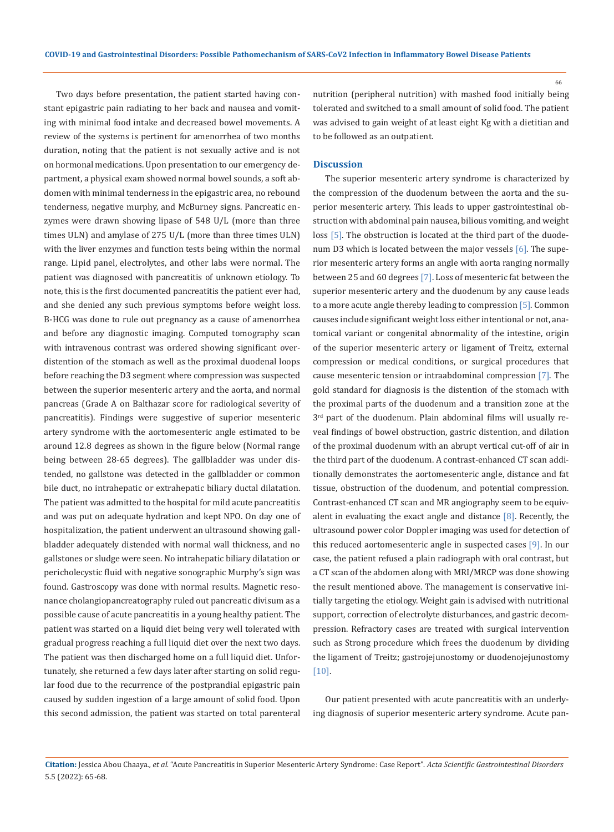Two days before presentation, the patient started having constant epigastric pain radiating to her back and nausea and vomiting with minimal food intake and decreased bowel movements. A review of the systems is pertinent for amenorrhea of two months duration, noting that the patient is not sexually active and is not on hormonal medications. Upon presentation to our emergency department, a physical exam showed normal bowel sounds, a soft abdomen with minimal tenderness in the epigastric area, no rebound tenderness, negative murphy, and McBurney signs. Pancreatic enzymes were drawn showing lipase of 548 U/L (more than three times ULN) and amylase of 275 U/L (more than three times ULN) with the liver enzymes and function tests being within the normal range. Lipid panel, electrolytes, and other labs were normal. The patient was diagnosed with pancreatitis of unknown etiology. To note, this is the first documented pancreatitis the patient ever had, and she denied any such previous symptoms before weight loss. B-HCG was done to rule out pregnancy as a cause of amenorrhea and before any diagnostic imaging. Computed tomography scan with intravenous contrast was ordered showing significant overdistention of the stomach as well as the proximal duodenal loops before reaching the D3 segment where compression was suspected between the superior mesenteric artery and the aorta, and normal pancreas (Grade A on Balthazar score for radiological severity of pancreatitis). Findings were suggestive of superior mesenteric artery syndrome with the aortomesenteric angle estimated to be around 12.8 degrees as shown in the figure below (Normal range being between 28-65 degrees). The gallbladder was under distended, no gallstone was detected in the gallbladder or common bile duct, no intrahepatic or extrahepatic biliary ductal dilatation. The patient was admitted to the hospital for mild acute pancreatitis and was put on adequate hydration and kept NPO. On day one of hospitalization, the patient underwent an ultrasound showing gallbladder adequately distended with normal wall thickness, and no gallstones or sludge were seen. No intrahepatic biliary dilatation or pericholecystic fluid with negative sonographic Murphy's sign was found. Gastroscopy was done with normal results. Magnetic resonance cholangiopancreatography ruled out pancreatic divisum as a possible cause of acute pancreatitis in a young healthy patient. The patient was started on a liquid diet being very well tolerated with gradual progress reaching a full liquid diet over the next two days. The patient was then discharged home on a full liquid diet. Unfortunately, she returned a few days later after starting on solid regular food due to the recurrence of the postprandial epigastric pain caused by sudden ingestion of a large amount of solid food. Upon this second admission, the patient was started on total parenteral

nutrition (peripheral nutrition) with mashed food initially being tolerated and switched to a small amount of solid food. The patient was advised to gain weight of at least eight Kg with a dietitian and to be followed as an outpatient.

#### **Discussion**

The superior mesenteric artery syndrome is characterized by the compression of the duodenum between the aorta and the superior mesenteric artery. This leads to upper gastrointestinal obstruction with abdominal pain nausea, bilious vomiting, and weight loss [5]. The obstruction is located at the third part of the duodenum D3 which is located between the major vessels [6]. The superior mesenteric artery forms an angle with aorta ranging normally between 25 and 60 degrees [7]. Loss of mesenteric fat between the superior mesenteric artery and the duodenum by any cause leads to a more acute angle thereby leading to compression [5]. Common causes include significant weight loss either intentional or not, anatomical variant or congenital abnormality of the intestine, origin of the superior mesenteric artery or ligament of Treitz, external compression or medical conditions, or surgical procedures that cause mesenteric tension or intraabdominal compression [7]. The gold standard for diagnosis is the distention of the stomach with the proximal parts of the duodenum and a transition zone at the  $3<sup>rd</sup>$  part of the duodenum. Plain abdominal films will usually reveal findings of bowel obstruction, gastric distention, and dilation of the proximal duodenum with an abrupt vertical cut-off of air in the third part of the duodenum. A contrast-enhanced CT scan additionally demonstrates the aortomesenteric angle, distance and fat tissue, obstruction of the duodenum, and potential compression. Contrast-enhanced CT scan and MR angiography seem to be equivalent in evaluating the exact angle and distance  $[8]$ . Recently, the ultrasound power color Doppler imaging was used for detection of this reduced aortomesenteric angle in suspected cases [9]. In our case, the patient refused a plain radiograph with oral contrast, but a CT scan of the abdomen along with MRI/MRCP was done showing the result mentioned above. The management is conservative initially targeting the etiology. Weight gain is advised with nutritional support, correction of electrolyte disturbances, and gastric decompression. Refractory cases are treated with surgical intervention such as Strong procedure which frees the duodenum by dividing the ligament of Treitz; gastrojejunostomy or duodenojejunostomy [10].

Our patient presented with acute pancreatitis with an underlying diagnosis of superior mesenteric artery syndrome. Acute pan-

66

**Citation:** Jessica Abou Chaaya*., et al.* "Acute Pancreatitis in Superior Mesenteric Artery Syndrome: Case Report". *Acta Scientific Gastrointestinal Disorders*  5.5 (2022): 65-68.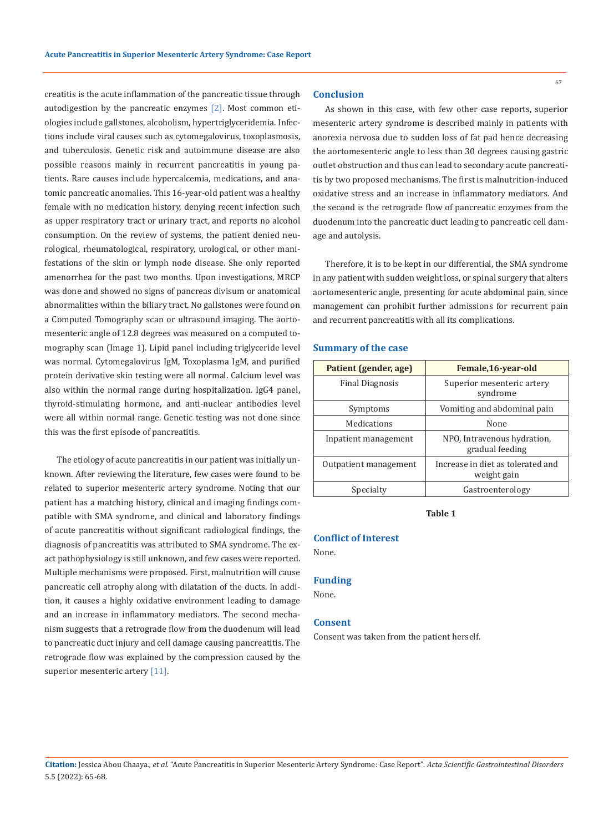creatitis is the acute inflammation of the pancreatic tissue through autodigestion by the pancreatic enzymes [2]. Most common etiologies include gallstones, alcoholism, hypertriglyceridemia. Infections include viral causes such as cytomegalovirus, toxoplasmosis, and tuberculosis. Genetic risk and autoimmune disease are also possible reasons mainly in recurrent pancreatitis in young patients. Rare causes include hypercalcemia, medications, and anatomic pancreatic anomalies. This 16-year-old patient was a healthy female with no medication history, denying recent infection such as upper respiratory tract or urinary tract, and reports no alcohol consumption. On the review of systems, the patient denied neurological, rheumatological, respiratory, urological, or other manifestations of the skin or lymph node disease. She only reported amenorrhea for the past two months. Upon investigations, MRCP was done and showed no signs of pancreas divisum or anatomical abnormalities within the biliary tract. No gallstones were found on a Computed Tomography scan or ultrasound imaging. The aortomesenteric angle of 12.8 degrees was measured on a computed tomography scan (Image 1). Lipid panel including triglyceride level was normal. Cytomegalovirus IgM, Toxoplasma IgM, and purified protein derivative skin testing were all normal. Calcium level was also within the normal range during hospitalization. IgG4 panel, thyroid-stimulating hormone, and anti-nuclear antibodies level were all within normal range. Genetic testing was not done since this was the first episode of pancreatitis.

The etiology of acute pancreatitis in our patient was initially unknown. After reviewing the literature, few cases were found to be related to superior mesenteric artery syndrome. Noting that our patient has a matching history, clinical and imaging findings compatible with SMA syndrome, and clinical and laboratory findings of acute pancreatitis without significant radiological findings, the diagnosis of pancreatitis was attributed to SMA syndrome. The exact pathophysiology is still unknown, and few cases were reported. Multiple mechanisms were proposed. First, malnutrition will cause pancreatic cell atrophy along with dilatation of the ducts. In addition, it causes a highly oxidative environment leading to damage and an increase in inflammatory mediators. The second mechanism suggests that a retrograde flow from the duodenum will lead to pancreatic duct injury and cell damage causing pancreatitis. The retrograde flow was explained by the compression caused by the superior mesenteric artery [11].

### **Conclusion**

As shown in this case, with few other case reports, superior mesenteric artery syndrome is described mainly in patients with anorexia nervosa due to sudden loss of fat pad hence decreasing the aortomesenteric angle to less than 30 degrees causing gastric outlet obstruction and thus can lead to secondary acute pancreatitis by two proposed mechanisms. The first is malnutrition-induced oxidative stress and an increase in inflammatory mediators. And the second is the retrograde flow of pancreatic enzymes from the duodenum into the pancreatic duct leading to pancreatic cell damage and autolysis.

Therefore, it is to be kept in our differential, the SMA syndrome in any patient with sudden weight loss, or spinal surgery that alters aortomesenteric angle, presenting for acute abdominal pain, since management can prohibit further admissions for recurrent pain and recurrent pancreatitis with all its complications.

#### **Summary of the case**

| Patient (gender, age)  | Female, 16-year-old                              |
|------------------------|--------------------------------------------------|
| <b>Final Diagnosis</b> | Superior mesenteric artery<br>syndrome           |
| Symptoms               | Vomiting and abdominal pain                      |
| Medications            | None                                             |
| Inpatient management   | NPO, Intravenous hydration.<br>gradual feeding   |
| Outpatient management  | Increase in diet as tolerated and<br>weight gain |
| Specialty              | Gastroenterology                                 |

**Table 1**

#### **Conflict of Interest**

None.

### **Funding**

None.

## **Consent**

Consent was taken from the patient herself.